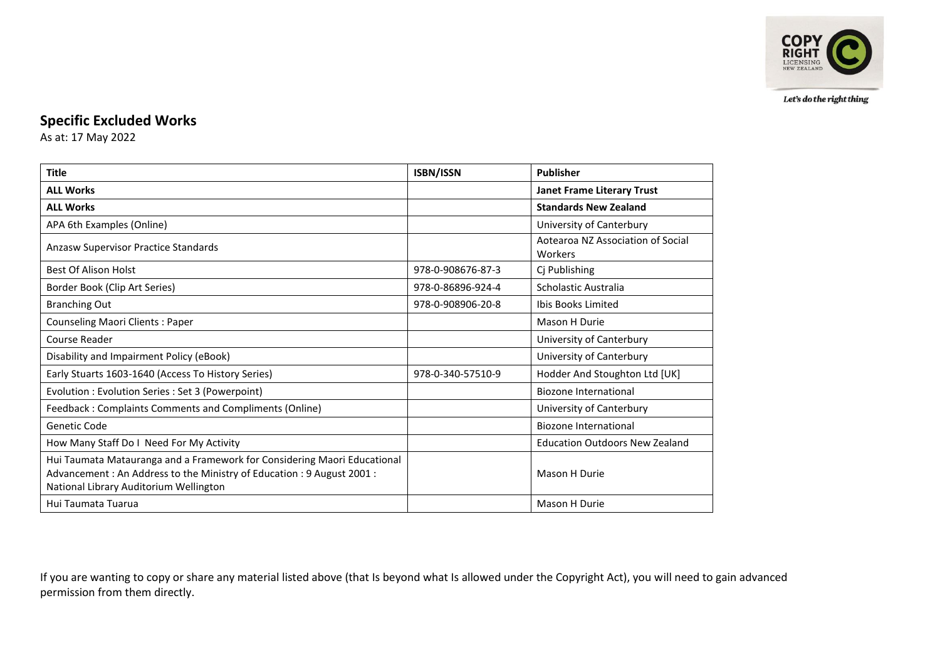

Let's do the right thing

## **Specific Excluded Works**

As at: 17 May 2022

| <b>Title</b>                                                                                                                                                                               | <b>ISBN/ISSN</b>  | Publisher                                    |
|--------------------------------------------------------------------------------------------------------------------------------------------------------------------------------------------|-------------------|----------------------------------------------|
| <b>ALL Works</b>                                                                                                                                                                           |                   | <b>Janet Frame Literary Trust</b>            |
| <b>ALL Works</b>                                                                                                                                                                           |                   | <b>Standards New Zealand</b>                 |
| APA 6th Examples (Online)                                                                                                                                                                  |                   | University of Canterbury                     |
| Anzasw Supervisor Practice Standards                                                                                                                                                       |                   | Aotearoa NZ Association of Social<br>Workers |
| <b>Best Of Alison Holst</b>                                                                                                                                                                | 978-0-908676-87-3 | Cj Publishing                                |
| Border Book (Clip Art Series)                                                                                                                                                              | 978-0-86896-924-4 | Scholastic Australia                         |
| <b>Branching Out</b>                                                                                                                                                                       | 978-0-908906-20-8 | Ibis Books Limited                           |
| <b>Counseling Maori Clients: Paper</b>                                                                                                                                                     |                   | Mason H Durie                                |
| Course Reader                                                                                                                                                                              |                   | University of Canterbury                     |
| Disability and Impairment Policy (eBook)                                                                                                                                                   |                   | University of Canterbury                     |
| Early Stuarts 1603-1640 (Access To History Series)                                                                                                                                         | 978-0-340-57510-9 | Hodder And Stoughton Ltd [UK]                |
| Evolution : Evolution Series : Set 3 (Powerpoint)                                                                                                                                          |                   | Biozone International                        |
| Feedback: Complaints Comments and Compliments (Online)                                                                                                                                     |                   | University of Canterbury                     |
| Genetic Code                                                                                                                                                                               |                   | <b>Biozone International</b>                 |
| How Many Staff Do I Need For My Activity                                                                                                                                                   |                   | <b>Education Outdoors New Zealand</b>        |
| Hui Taumata Matauranga and a Framework for Considering Maori Educational<br>Advancement: An Address to the Ministry of Education: 9 August 2001:<br>National Library Auditorium Wellington |                   | Mason H Durie                                |
| Hui Taumata Tuarua                                                                                                                                                                         |                   | Mason H Durie                                |

If you are wanting to copy or share any material listed above (that Is beyond what Is allowed under the Copyright Act), you will need to gain advanced permission from them directly.